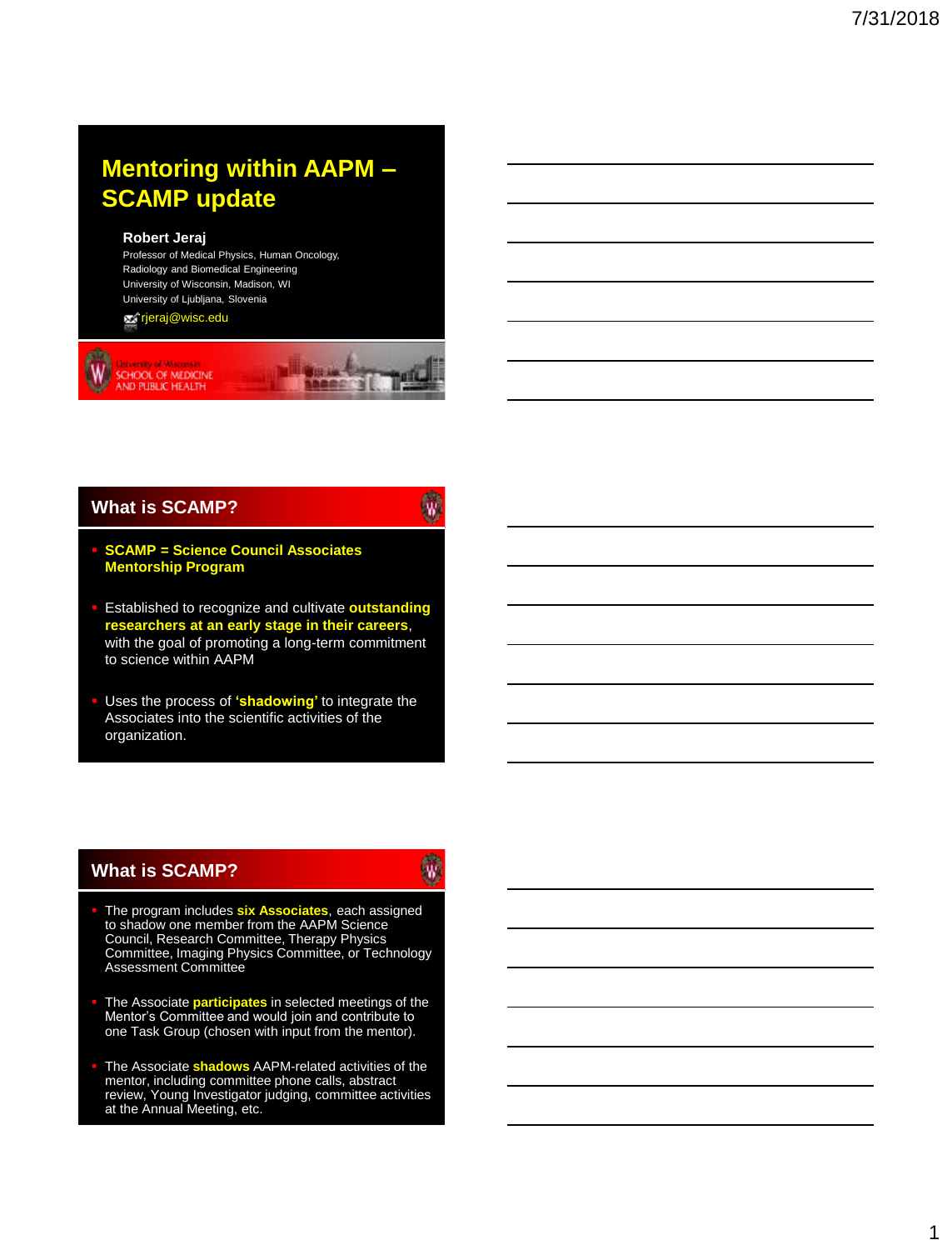# **Mentoring within AAPM – SCAMP update**

#### **Robert Jeraj**

Professor of Medical Physics, Human Oncology, Radiology and Biomedical Engineering University of Wisconsin, Madison, WI University of Ljubljana, Slovenia

rjeraj@wisc.edu



### **What is SCAMP?**

# $\mathbf{w}$

- **SCAMP = Science Council Associates Mentorship Program**
- Established to recognize and cultivate **outstanding researchers at an early stage in their careers**, with the goal of promoting a long-term commitment to science within AAPM

 Uses the process of **'shadowing'** to integrate the Associates into the scientific activities of the organization.

### **What is SCAMP?**

W.

- **The program includes six Associates**, each assigned to shadow one member from the AAPM Science Council, Research Committee, Therapy Physics Committee, Imaging Physics Committee, or Technology Assessment Committee
- **The Associate participates** in selected meetings of the Mentor's Committee and would join and contribute to one Task Group (chosen with input from the mentor).
- **The Associate shadows AAPM-related activities of the** mentor, including committee phone calls, abstract review, Young Investigator judging, committee activities at the Annual Meeting, etc.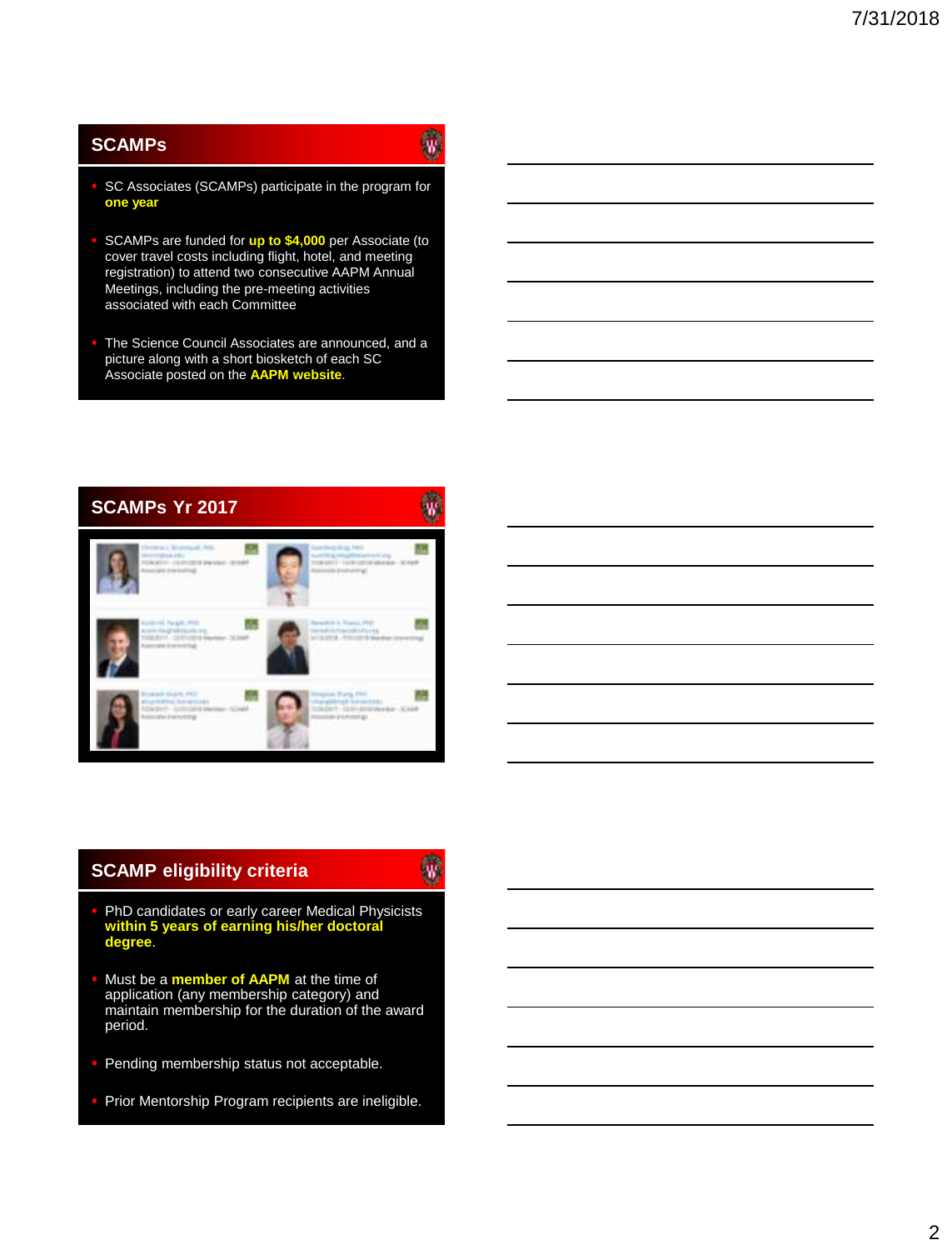## **SCAMPs**

- SC Associates (SCAMPs) participate in the program for **one year**
- SCAMPs are funded for **up to \$4,000** per Associate (to cover travel costs including flight, hotel, and meeting registration) to attend two consecutive AAPM Annual Meetings, including the pre-meeting activities associated with each Committee
- The Science Council Associates are announced, and a picture along with a short biosketch of each SC Associate posted on the **AAPM website**.



## **SCAMP eligibility criteria**

# $\mathbf{w}$

 $\widehat{w}$ 

- **PhD candidates or early career Medical Physicists within 5 years of earning his/her doctoral degree**.
- Must be a **member of AAPM** at the time of application (any membership category) and maintain membership for the duration of the award period.
- **Pending membership status not acceptable.**
- Prior Mentorship Program recipients are ineligible.